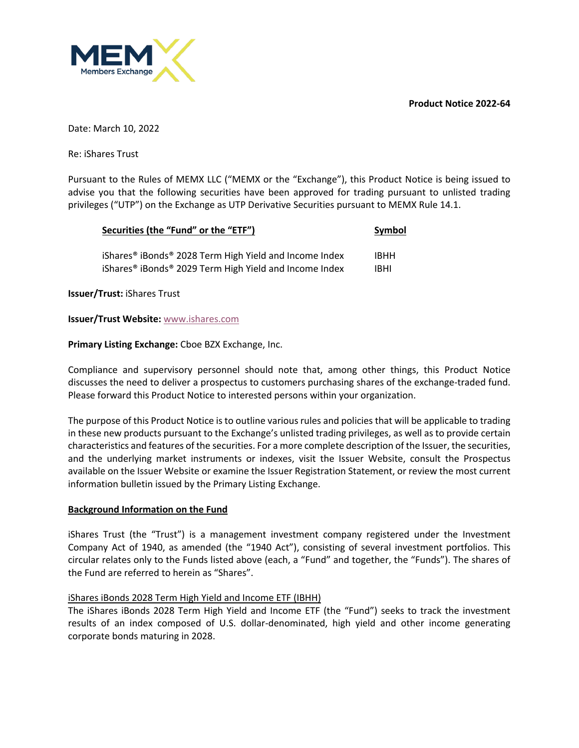**Product Notice 2022-64**



Date: March 10, 2022

Re: iShares Trust

Pursuant to the Rules of MEMX LLC ("MEMX or the "Exchange"), this Product Notice is being issued to advise you that the following securities have been approved for trading pursuant to unlisted trading privileges ("UTP") on the Exchange as UTP Derivative Securities pursuant to MEMX Rule 14.1.

| Securities (the "Fund" or the "ETF")                                           | Symbol      |  |
|--------------------------------------------------------------------------------|-------------|--|
| iShares <sup>®</sup> iBonds <sup>®</sup> 2028 Term High Yield and Income Index | <b>IBHH</b> |  |
| iShares <sup>®</sup> iBonds <sup>®</sup> 2029 Term High Yield and Income Index | <b>IBHI</b> |  |

**Issuer/Trust:** iShares Trust

### **Issuer/Trust Website:** www.ishares.com

## **Primary Listing Exchange:** Cboe BZX Exchange, Inc.

Compliance and supervisory personnel should note that, among other things, this Product Notice discusses the need to deliver a prospectus to customers purchasing shares of the exchange-traded fund. Please forward this Product Notice to interested persons within your organization.

The purpose of this Product Notice is to outline various rules and policies that will be applicable to trading in these new products pursuant to the Exchange's unlisted trading privileges, as well as to provide certain characteristics and features of the securities. For a more complete description of the Issuer, the securities, and the underlying market instruments or indexes, visit the Issuer Website, consult the Prospectus available on the Issuer Website or examine the Issuer Registration Statement, or review the most current information bulletin issued by the Primary Listing Exchange.

### **Background Information on the Fund**

iShares Trust (the "Trust") is a management investment company registered under the Investment Company Act of 1940, as amended (the "1940 Act"), consisting of several investment portfolios. This circular relates only to the Funds listed above (each, a "Fund" and together, the "Funds"). The shares of the Fund are referred to herein as "Shares".

### iShares iBonds 2028 Term High Yield and Income ETF (IBHH)

The iShares iBonds 2028 Term High Yield and Income ETF (the "Fund") seeks to track the investment results of an index composed of U.S. dollar-denominated, high yield and other income generating corporate bonds maturing in 2028.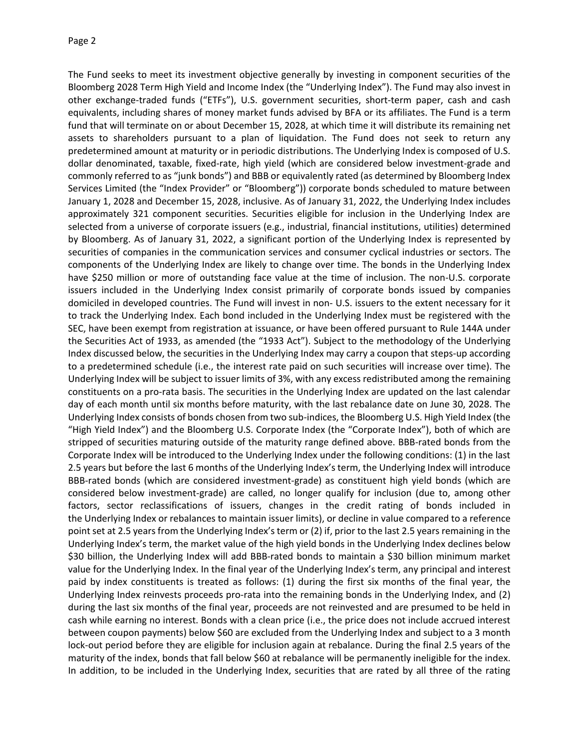The Fund seeks to meet its investment objective generally by investing in component securities of the Bloomberg 2028 Term High Yield and Income Index (the "Underlying Index"). The Fund may also invest in other exchange-traded funds ("ETFs"), U.S. government securities, short-term paper, cash and cash equivalents, including shares of money market funds advised by BFA or its affiliates. The Fund is a term fund that will terminate on or about December 15, 2028, at which time it will distribute its remaining net assets to shareholders pursuant to a plan of liquidation. The Fund does not seek to return any predetermined amount at maturity or in periodic distributions. The Underlying Index is composed of U.S. dollar denominated, taxable, fixed-rate, high yield (which are considered below investment-grade and commonly referred to as "junk bonds") and BBB or equivalently rated (as determined by Bloomberg Index Services Limited (the "Index Provider" or "Bloomberg")) corporate bonds scheduled to mature between January 1, 2028 and December 15, 2028, inclusive. As of January 31, 2022, the Underlying Index includes approximately 321 component securities. Securities eligible for inclusion in the Underlying Index are selected from a universe of corporate issuers (e.g., industrial, financial institutions, utilities) determined by Bloomberg. As of January 31, 2022, a significant portion of the Underlying Index is represented by securities of companies in the communication services and consumer cyclical industries or sectors. The components of the Underlying Index are likely to change over time. The bonds in the Underlying Index have \$250 million or more of outstanding face value at the time of inclusion. The non-U.S. corporate issuers included in the Underlying Index consist primarily of corporate bonds issued by companies domiciled in developed countries. The Fund will invest in non- U.S. issuers to the extent necessary for it to track the Underlying Index. Each bond included in the Underlying Index must be registered with the SEC, have been exempt from registration at issuance, or have been offered pursuant to Rule 144A under the Securities Act of 1933, as amended (the "1933 Act"). Subject to the methodology of the Underlying Index discussed below, the securities in the Underlying Index may carry a coupon that steps-up according to a predetermined schedule (i.e., the interest rate paid on such securities will increase over time). The Underlying Index will be subject to issuer limits of 3%, with any excess redistributed among the remaining constituents on a pro-rata basis. The securities in the Underlying Index are updated on the last calendar day of each month until six months before maturity, with the last rebalance date on June 30, 2028. The Underlying Index consists of bonds chosen from two sub-indices, the Bloomberg U.S. High Yield Index (the "High Yield Index") and the Bloomberg U.S. Corporate Index (the "Corporate Index"), both of which are stripped of securities maturing outside of the maturity range defined above. BBB-rated bonds from the Corporate Index will be introduced to the Underlying Index under the following conditions: (1) in the last 2.5 years but before the last 6 months of the Underlying Index's term, the Underlying Index will introduce BBB-rated bonds (which are considered investment-grade) as constituent high yield bonds (which are considered below investment-grade) are called, no longer qualify for inclusion (due to, among other factors, sector reclassifications of issuers, changes in the credit rating of bonds included in the Underlying Index or rebalances to maintain issuer limits), or decline in value compared to a reference point set at 2.5 years from the Underlying Index's term or (2) if, prior to the last 2.5 years remaining in the Underlying Index's term, the market value of the high yield bonds in the Underlying Index declines below \$30 billion, the Underlying Index will add BBB-rated bonds to maintain a \$30 billion minimum market value for the Underlying Index. In the final year of the Underlying Index's term, any principal and interest paid by index constituents is treated as follows: (1) during the first six months of the final year, the Underlying Index reinvests proceeds pro-rata into the remaining bonds in the Underlying Index, and (2) during the last six months of the final year, proceeds are not reinvested and are presumed to be held in cash while earning no interest. Bonds with a clean price (i.e., the price does not include accrued interest between coupon payments) below \$60 are excluded from the Underlying Index and subject to a 3 month lock-out period before they are eligible for inclusion again at rebalance. During the final 2.5 years of the maturity of the index, bonds that fall below \$60 at rebalance will be permanently ineligible for the index. In addition, to be included in the Underlying Index, securities that are rated by all three of the rating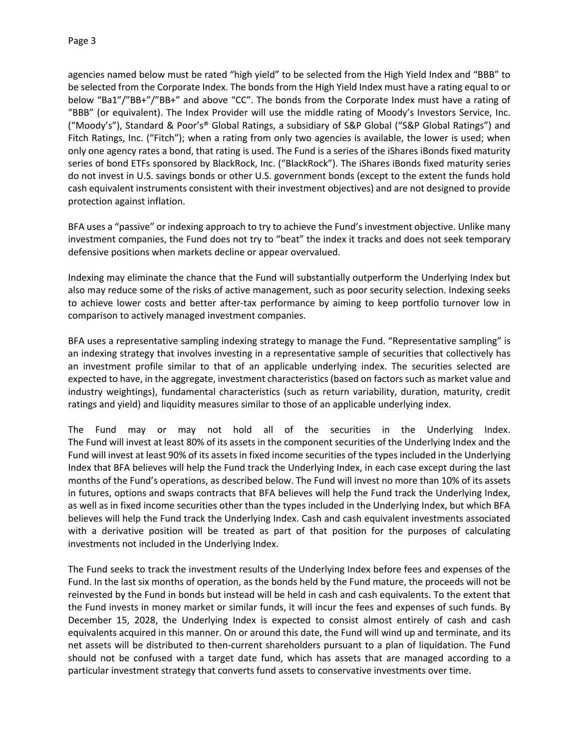agencies named below must be rated "high yield" to be selected from the High Yield Index and "BBB" to be selected from the Corporate Index. The bonds from the High Yield Index must have a rating equal to or below "Ba1"/"BB+"/"BB+" and above "CC". The bonds from the Corporate Index must have a rating of "BBB" (or equivalent). The Index Provider will use the middle rating of Moody's Investors Service, Inc. ("Moody's"), Standard & Poor's® Global Ratings, a subsidiary of S&P Global ("S&P Global Ratings") and Fitch Ratings, Inc. ("Fitch"); when a rating from only two agencies is available, the lower is used; when only one agency rates a bond, that rating is used. The Fund is a series of the iShares iBonds fixed maturity series of bond ETFs sponsored by BlackRock, Inc. ("BlackRock"). The iShares iBonds fixed maturity series do not invest in U.S. savings bonds or other U.S. government bonds (except to the extent the funds hold cash equivalent instruments consistent with their investment objectives) and are not designed to provide protection against inflation.

BFA uses a "passive" or indexing approach to try to achieve the Fund's investment objective. Unlike many investment companies, the Fund does not try to "beat" the index it tracks and does not seek temporary defensive positions when markets decline or appear overvalued.

Indexing may eliminate the chance that the Fund will substantially outperform the Underlying Index but also may reduce some of the risks of active management, such as poor security selection. Indexing seeks to achieve lower costs and better after-tax performance by aiming to keep portfolio turnover low in comparison to actively managed investment companies.

BFA uses a representative sampling indexing strategy to manage the Fund. "Representative sampling" is an indexing strategy that involves investing in a representative sample of securities that collectively has an investment profile similar to that of an applicable underlying index. The securities selected are expected to have, in the aggregate, investment characteristics (based on factors such as market value and industry weightings), fundamental characteristics (such as return variability, duration, maturity, credit ratings and yield) and liquidity measures similar to those of an applicable underlying index.

The Fund may or may not hold all of the securities in the Underlying Index. The Fund will invest at least 80% of its assets in the component securities of the Underlying Index and the Fund will invest at least 90% of its assets in fixed income securities of the types included in the Underlying Index that BFA believes will help the Fund track the Underlying Index, in each case except during the last months of the Fund's operations, as described below. The Fund will invest no more than 10% of its assets in futures, options and swaps contracts that BFA believes will help the Fund track the Underlying Index, as well as in fixed income securities other than the types included in the Underlying Index, but which BFA believes will help the Fund track the Underlying Index. Cash and cash equivalent investments associated with a derivative position will be treated as part of that position for the purposes of calculating investments not included in the Underlying Index.

The Fund seeks to track the investment results of the Underlying Index before fees and expenses of the Fund. In the last six months of operation, as the bonds held by the Fund mature, the proceeds will not be reinvested by the Fund in bonds but instead will be held in cash and cash equivalents. To the extent that the Fund invests in money market or similar funds, it will incur the fees and expenses of such funds. By December 15, 2028, the Underlying Index is expected to consist almost entirely of cash and cash equivalents acquired in this manner. On or around this date, the Fund will wind up and terminate, and its net assets will be distributed to then-current shareholders pursuant to a plan of liquidation. The Fund should not be confused with a target date fund, which has assets that are managed according to a particular investment strategy that converts fund assets to conservative investments over time.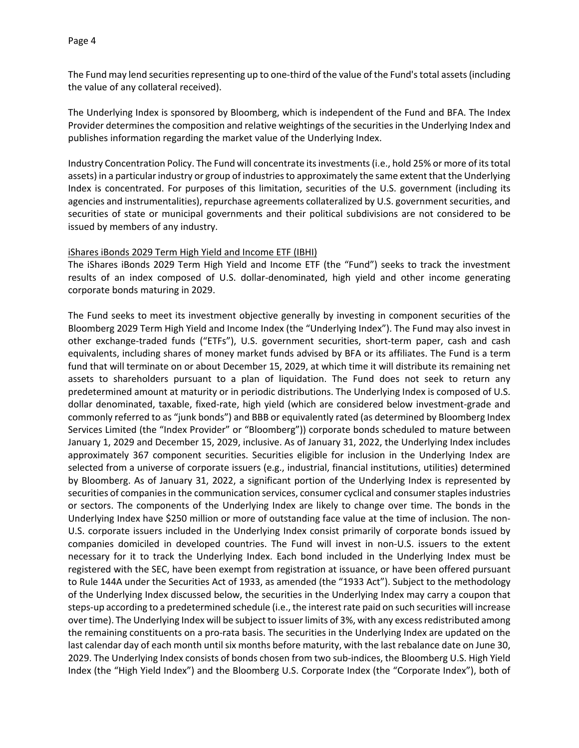The Fund may lend securities representing up to one-third of the value of the Fund's total assets (including the value of any collateral received).

The Underlying Index is sponsored by Bloomberg, which is independent of the Fund and BFA. The Index Provider determines the composition and relative weightings of the securities in the Underlying Index and publishes information regarding the market value of the Underlying Index.

Industry Concentration Policy. The Fund will concentrate its investments (i.e., hold 25% or more of its total assets) in a particular industry or group of industries to approximately the same extent that the Underlying Index is concentrated. For purposes of this limitation, securities of the U.S. government (including its agencies and instrumentalities), repurchase agreements collateralized by U.S. government securities, and securities of state or municipal governments and their political subdivisions are not considered to be issued by members of any industry.

#### iShares iBonds 2029 Term High Yield and Income ETF (IBHI)

The iShares iBonds 2029 Term High Yield and Income ETF (the "Fund") seeks to track the investment results of an index composed of U.S. dollar-denominated, high yield and other income generating corporate bonds maturing in 2029.

The Fund seeks to meet its investment objective generally by investing in component securities of the Bloomberg 2029 Term High Yield and Income Index (the "Underlying Index"). The Fund may also invest in other exchange-traded funds ("ETFs"), U.S. government securities, short-term paper, cash and cash equivalents, including shares of money market funds advised by BFA or its affiliates. The Fund is a term fund that will terminate on or about December 15, 2029, at which time it will distribute its remaining net assets to shareholders pursuant to a plan of liquidation. The Fund does not seek to return any predetermined amount at maturity or in periodic distributions. The Underlying Index is composed of U.S. dollar denominated, taxable, fixed-rate, high yield (which are considered below investment-grade and commonly referred to as "junk bonds") and BBB or equivalently rated (as determined by Bloomberg Index Services Limited (the "Index Provider" or "Bloomberg")) corporate bonds scheduled to mature between January 1, 2029 and December 15, 2029, inclusive. As of January 31, 2022, the Underlying Index includes approximately 367 component securities. Securities eligible for inclusion in the Underlying Index are selected from a universe of corporate issuers (e.g., industrial, financial institutions, utilities) determined by Bloomberg. As of January 31, 2022, a significant portion of the Underlying Index is represented by securities of companies in the communication services, consumer cyclical and consumer staples industries or sectors. The components of the Underlying Index are likely to change over time. The bonds in the Underlying Index have \$250 million or more of outstanding face value at the time of inclusion. The non-U.S. corporate issuers included in the Underlying Index consist primarily of corporate bonds issued by companies domiciled in developed countries. The Fund will invest in non-U.S. issuers to the extent necessary for it to track the Underlying Index. Each bond included in the Underlying Index must be registered with the SEC, have been exempt from registration at issuance, or have been offered pursuant to Rule 144A under the Securities Act of 1933, as amended (the "1933 Act"). Subject to the methodology of the Underlying Index discussed below, the securities in the Underlying Index may carry a coupon that steps-up according to a predetermined schedule (i.e., the interest rate paid on such securities will increase over time). The Underlying Index will be subject to issuer limits of 3%, with any excess redistributed among the remaining constituents on a pro-rata basis. The securities in the Underlying Index are updated on the last calendar day of each month until six months before maturity, with the last rebalance date on June 30, 2029. The Underlying Index consists of bonds chosen from two sub-indices, the Bloomberg U.S. High Yield Index (the "High Yield Index") and the Bloomberg U.S. Corporate Index (the "Corporate Index"), both of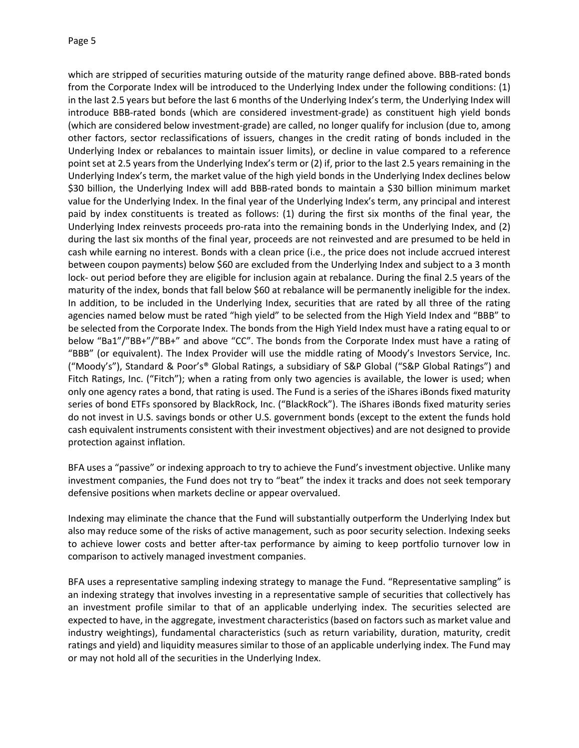which are stripped of securities maturing outside of the maturity range defined above. BBB-rated bonds from the Corporate Index will be introduced to the Underlying Index under the following conditions: (1) in the last 2.5 years but before the last 6 months of the Underlying Index's term, the Underlying Index will introduce BBB-rated bonds (which are considered investment-grade) as constituent high yield bonds (which are considered below investment-grade) are called, no longer qualify for inclusion (due to, among other factors, sector reclassifications of issuers, changes in the credit rating of bonds included in the Underlying Index or rebalances to maintain issuer limits), or decline in value compared to a reference point set at 2.5 years from the Underlying Index's term or (2) if, prior to the last 2.5 years remaining in the Underlying Index's term, the market value of the high yield bonds in the Underlying Index declines below \$30 billion, the Underlying Index will add BBB-rated bonds to maintain a \$30 billion minimum market value for the Underlying Index. In the final year of the Underlying Index's term, any principal and interest paid by index constituents is treated as follows: (1) during the first six months of the final year, the Underlying Index reinvests proceeds pro-rata into the remaining bonds in the Underlying Index, and (2) during the last six months of the final year, proceeds are not reinvested and are presumed to be held in cash while earning no interest. Bonds with a clean price (i.e., the price does not include accrued interest between coupon payments) below \$60 are excluded from the Underlying Index and subject to a 3 month lock- out period before they are eligible for inclusion again at rebalance. During the final 2.5 years of the maturity of the index, bonds that fall below \$60 at rebalance will be permanently ineligible for the index. In addition, to be included in the Underlying Index, securities that are rated by all three of the rating agencies named below must be rated "high yield" to be selected from the High Yield Index and "BBB" to be selected from the Corporate Index. The bonds from the High Yield Index must have a rating equal to or below "Ba1"/"BB+"/"BB+" and above "CC". The bonds from the Corporate Index must have a rating of "BBB" (or equivalent). The Index Provider will use the middle rating of Moody's Investors Service, Inc. ("Moody's"), Standard & Poor's® Global Ratings, a subsidiary of S&P Global ("S&P Global Ratings") and Fitch Ratings, Inc. ("Fitch"); when a rating from only two agencies is available, the lower is used; when only one agency rates a bond, that rating is used. The Fund is a series of the iShares iBonds fixed maturity series of bond ETFs sponsored by BlackRock, Inc. ("BlackRock"). The iShares iBonds fixed maturity series do not invest in U.S. savings bonds or other U.S. government bonds (except to the extent the funds hold cash equivalent instruments consistent with their investment objectives) and are not designed to provide protection against inflation.

BFA uses a "passive" or indexing approach to try to achieve the Fund's investment objective. Unlike many investment companies, the Fund does not try to "beat" the index it tracks and does not seek temporary defensive positions when markets decline or appear overvalued.

Indexing may eliminate the chance that the Fund will substantially outperform the Underlying Index but also may reduce some of the risks of active management, such as poor security selection. Indexing seeks to achieve lower costs and better after-tax performance by aiming to keep portfolio turnover low in comparison to actively managed investment companies.

BFA uses a representative sampling indexing strategy to manage the Fund. "Representative sampling" is an indexing strategy that involves investing in a representative sample of securities that collectively has an investment profile similar to that of an applicable underlying index. The securities selected are expected to have, in the aggregate, investment characteristics (based on factors such as market value and industry weightings), fundamental characteristics (such as return variability, duration, maturity, credit ratings and yield) and liquidity measures similar to those of an applicable underlying index. The Fund may or may not hold all of the securities in the Underlying Index.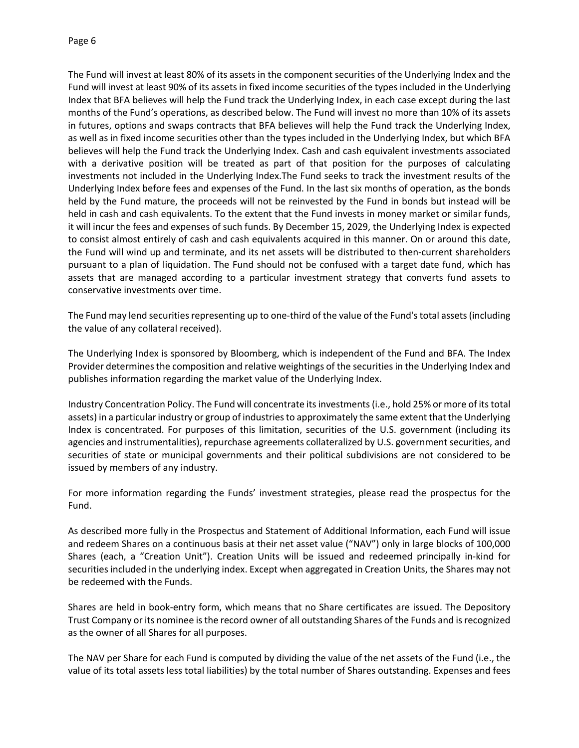The Fund will invest at least 80% of its assets in the component securities of the Underlying Index and the Fund will invest at least 90% of its assets in fixed income securities of the types included in the Underlying Index that BFA believes will help the Fund track the Underlying Index, in each case except during the last months of the Fund's operations, as described below. The Fund will invest no more than 10% of its assets in futures, options and swaps contracts that BFA believes will help the Fund track the Underlying Index, as well as in fixed income securities other than the types included in the Underlying Index, but which BFA believes will help the Fund track the Underlying Index. Cash and cash equivalent investments associated with a derivative position will be treated as part of that position for the purposes of calculating investments not included in the Underlying Index.The Fund seeks to track the investment results of the Underlying Index before fees and expenses of the Fund. In the last six months of operation, as the bonds held by the Fund mature, the proceeds will not be reinvested by the Fund in bonds but instead will be held in cash and cash equivalents. To the extent that the Fund invests in money market or similar funds, it will incur the fees and expenses of such funds. By December 15, 2029, the Underlying Index is expected to consist almost entirely of cash and cash equivalents acquired in this manner. On or around this date, the Fund will wind up and terminate, and its net assets will be distributed to then-current shareholders pursuant to a plan of liquidation. The Fund should not be confused with a target date fund, which has assets that are managed according to a particular investment strategy that converts fund assets to conservative investments over time.

The Fund may lend securities representing up to one-third of the value of the Fund's total assets (including the value of any collateral received).

The Underlying Index is sponsored by Bloomberg, which is independent of the Fund and BFA. The Index Provider determines the composition and relative weightings of the securities in the Underlying Index and publishes information regarding the market value of the Underlying Index.

Industry Concentration Policy. The Fund will concentrate its investments (i.e., hold 25% or more of its total assets) in a particular industry or group of industries to approximately the same extent that the Underlying Index is concentrated. For purposes of this limitation, securities of the U.S. government (including its agencies and instrumentalities), repurchase agreements collateralized by U.S. government securities, and securities of state or municipal governments and their political subdivisions are not considered to be issued by members of any industry.

For more information regarding the Funds' investment strategies, please read the prospectus for the Fund.

As described more fully in the Prospectus and Statement of Additional Information, each Fund will issue and redeem Shares on a continuous basis at their net asset value ("NAV") only in large blocks of 100,000 Shares (each, a "Creation Unit"). Creation Units will be issued and redeemed principally in-kind for securities included in the underlying index. Except when aggregated in Creation Units, the Shares may not be redeemed with the Funds.

Shares are held in book-entry form, which means that no Share certificates are issued. The Depository Trust Company or its nominee is the record owner of all outstanding Shares of the Funds and is recognized as the owner of all Shares for all purposes.

The NAV per Share for each Fund is computed by dividing the value of the net assets of the Fund (i.e., the value of its total assets less total liabilities) by the total number of Shares outstanding. Expenses and fees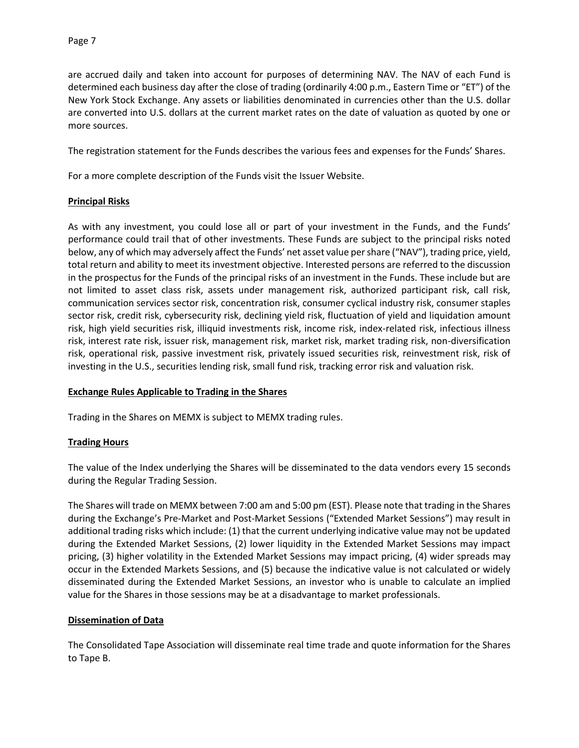are accrued daily and taken into account for purposes of determining NAV. The NAV of each Fund is determined each business day after the close of trading (ordinarily 4:00 p.m., Eastern Time or "ET") of the New York Stock Exchange. Any assets or liabilities denominated in currencies other than the U.S. dollar are converted into U.S. dollars at the current market rates on the date of valuation as quoted by one or more sources.

The registration statement for the Funds describes the various fees and expenses for the Funds' Shares.

For a more complete description of the Funds visit the Issuer Website.

### **Principal Risks**

As with any investment, you could lose all or part of your investment in the Funds, and the Funds' performance could trail that of other investments. These Funds are subject to the principal risks noted below, any of which may adversely affect the Funds' net asset value per share ("NAV"), trading price, yield, total return and ability to meet its investment objective. Interested persons are referred to the discussion in the prospectus for the Funds of the principal risks of an investment in the Funds. These include but are not limited to asset class risk, assets under management risk, authorized participant risk, call risk, communication services sector risk, concentration risk, consumer cyclical industry risk, consumer staples sector risk, credit risk, cybersecurity risk, declining yield risk, fluctuation of yield and liquidation amount risk, high yield securities risk, illiquid investments risk, income risk, index-related risk, infectious illness risk, interest rate risk, issuer risk, management risk, market risk, market trading risk, non-diversification risk, operational risk, passive investment risk, privately issued securities risk, reinvestment risk, risk of investing in the U.S., securities lending risk, small fund risk, tracking error risk and valuation risk.

### **Exchange Rules Applicable to Trading in the Shares**

Trading in the Shares on MEMX is subject to MEMX trading rules.

# **Trading Hours**

The value of the Index underlying the Shares will be disseminated to the data vendors every 15 seconds during the Regular Trading Session.

The Shares will trade on MEMX between 7:00 am and 5:00 pm (EST). Please note that trading in the Shares during the Exchange's Pre-Market and Post-Market Sessions ("Extended Market Sessions") may result in additional trading risks which include: (1) that the current underlying indicative value may not be updated during the Extended Market Sessions, (2) lower liquidity in the Extended Market Sessions may impact pricing, (3) higher volatility in the Extended Market Sessions may impact pricing, (4) wider spreads may occur in the Extended Markets Sessions, and (5) because the indicative value is not calculated or widely disseminated during the Extended Market Sessions, an investor who is unable to calculate an implied value for the Shares in those sessions may be at a disadvantage to market professionals.

### **Dissemination of Data**

The Consolidated Tape Association will disseminate real time trade and quote information for the Shares to Tape B.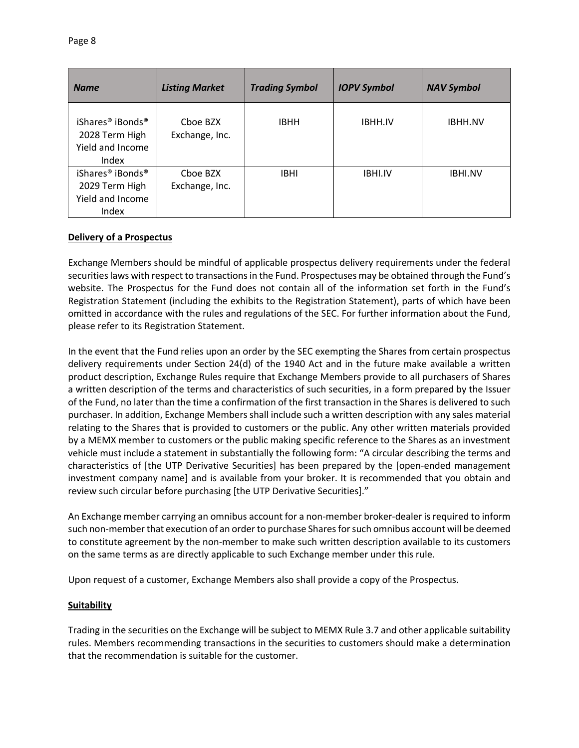| <b>Name</b>                                                                             | <b>Listing Market</b>      | <b>Trading Symbol</b> | <b>IOPV Symbol</b> | <b>NAV Symbol</b> |
|-----------------------------------------------------------------------------------------|----------------------------|-----------------------|--------------------|-------------------|
| iShares <sup>®</sup> iBonds <sup>®</sup><br>2028 Term High<br>Yield and Income<br>Index | Choe BZX<br>Exchange, Inc. | <b>IBHH</b>           | <b>IBHH.IV</b>     | <b>IBHH.NV</b>    |
| iShares <sup>®</sup> iBonds <sup>®</sup><br>2029 Term High<br>Yield and Income<br>Index | Choe BZX<br>Exchange, Inc. | <b>IBHI</b>           | <b>IBHI.IV</b>     | <b>IBHI.NV</b>    |

### **Delivery of a Prospectus**

Exchange Members should be mindful of applicable prospectus delivery requirements under the federal securities laws with respect to transactions in the Fund. Prospectuses may be obtained through the Fund's website. The Prospectus for the Fund does not contain all of the information set forth in the Fund's Registration Statement (including the exhibits to the Registration Statement), parts of which have been omitted in accordance with the rules and regulations of the SEC. For further information about the Fund, please refer to its Registration Statement.

In the event that the Fund relies upon an order by the SEC exempting the Shares from certain prospectus delivery requirements under Section 24(d) of the 1940 Act and in the future make available a written product description, Exchange Rules require that Exchange Members provide to all purchasers of Shares a written description of the terms and characteristics of such securities, in a form prepared by the Issuer of the Fund, no later than the time a confirmation of the first transaction in the Shares is delivered to such purchaser. In addition, Exchange Members shall include such a written description with any sales material relating to the Shares that is provided to customers or the public. Any other written materials provided by a MEMX member to customers or the public making specific reference to the Shares as an investment vehicle must include a statement in substantially the following form: "A circular describing the terms and characteristics of [the UTP Derivative Securities] has been prepared by the [open-ended management investment company name] and is available from your broker. It is recommended that you obtain and review such circular before purchasing [the UTP Derivative Securities]."

An Exchange member carrying an omnibus account for a non-member broker-dealer is required to inform such non-member that execution of an order to purchase Shares for such omnibus account will be deemed to constitute agreement by the non-member to make such written description available to its customers on the same terms as are directly applicable to such Exchange member under this rule.

Upon request of a customer, Exchange Members also shall provide a copy of the Prospectus.

### **Suitability**

Trading in the securities on the Exchange will be subject to MEMX Rule 3.7 and other applicable suitability rules. Members recommending transactions in the securities to customers should make a determination that the recommendation is suitable for the customer.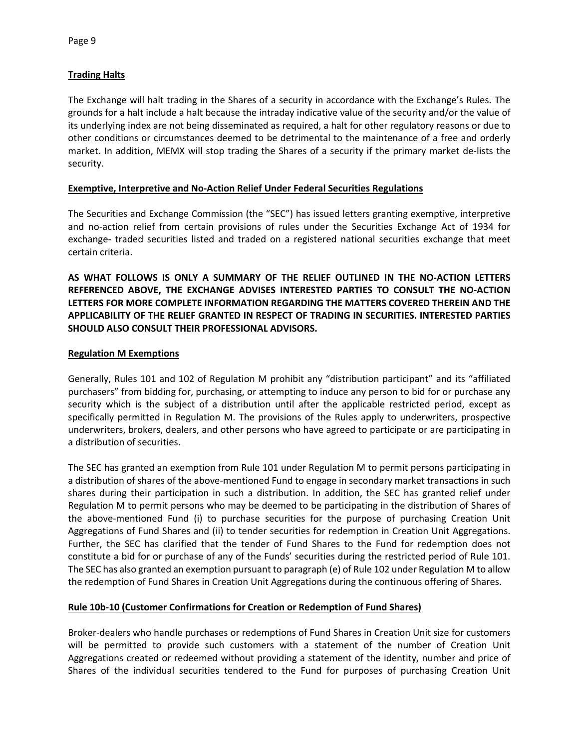## **Trading Halts**

The Exchange will halt trading in the Shares of a security in accordance with the Exchange's Rules. The grounds for a halt include a halt because the intraday indicative value of the security and/or the value of its underlying index are not being disseminated as required, a halt for other regulatory reasons or due to other conditions or circumstances deemed to be detrimental to the maintenance of a free and orderly market. In addition, MEMX will stop trading the Shares of a security if the primary market de-lists the security.

### **Exemptive, Interpretive and No-Action Relief Under Federal Securities Regulations**

The Securities and Exchange Commission (the "SEC") has issued letters granting exemptive, interpretive and no-action relief from certain provisions of rules under the Securities Exchange Act of 1934 for exchange- traded securities listed and traded on a registered national securities exchange that meet certain criteria.

**AS WHAT FOLLOWS IS ONLY A SUMMARY OF THE RELIEF OUTLINED IN THE NO-ACTION LETTERS REFERENCED ABOVE, THE EXCHANGE ADVISES INTERESTED PARTIES TO CONSULT THE NO-ACTION LETTERS FOR MORE COMPLETE INFORMATION REGARDING THE MATTERS COVERED THEREIN AND THE APPLICABILITY OF THE RELIEF GRANTED IN RESPECT OF TRADING IN SECURITIES. INTERESTED PARTIES SHOULD ALSO CONSULT THEIR PROFESSIONAL ADVISORS.**

### **Regulation M Exemptions**

Generally, Rules 101 and 102 of Regulation M prohibit any "distribution participant" and its "affiliated purchasers" from bidding for, purchasing, or attempting to induce any person to bid for or purchase any security which is the subject of a distribution until after the applicable restricted period, except as specifically permitted in Regulation M. The provisions of the Rules apply to underwriters, prospective underwriters, brokers, dealers, and other persons who have agreed to participate or are participating in a distribution of securities.

The SEC has granted an exemption from Rule 101 under Regulation M to permit persons participating in a distribution of shares of the above-mentioned Fund to engage in secondary market transactions in such shares during their participation in such a distribution. In addition, the SEC has granted relief under Regulation M to permit persons who may be deemed to be participating in the distribution of Shares of the above-mentioned Fund (i) to purchase securities for the purpose of purchasing Creation Unit Aggregations of Fund Shares and (ii) to tender securities for redemption in Creation Unit Aggregations. Further, the SEC has clarified that the tender of Fund Shares to the Fund for redemption does not constitute a bid for or purchase of any of the Funds' securities during the restricted period of Rule 101. The SEC has also granted an exemption pursuant to paragraph (e) of Rule 102 under Regulation M to allow the redemption of Fund Shares in Creation Unit Aggregations during the continuous offering of Shares.

# **Rule 10b-10 (Customer Confirmations for Creation or Redemption of Fund Shares)**

Broker-dealers who handle purchases or redemptions of Fund Shares in Creation Unit size for customers will be permitted to provide such customers with a statement of the number of Creation Unit Aggregations created or redeemed without providing a statement of the identity, number and price of Shares of the individual securities tendered to the Fund for purposes of purchasing Creation Unit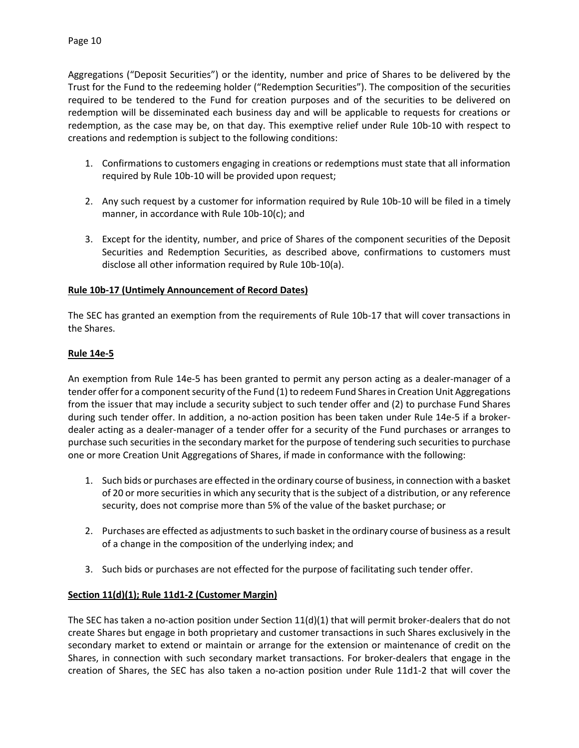Aggregations ("Deposit Securities") or the identity, number and price of Shares to be delivered by the Trust for the Fund to the redeeming holder ("Redemption Securities"). The composition of the securities required to be tendered to the Fund for creation purposes and of the securities to be delivered on redemption will be disseminated each business day and will be applicable to requests for creations or redemption, as the case may be, on that day. This exemptive relief under Rule 10b-10 with respect to creations and redemption is subject to the following conditions:

- 1. Confirmations to customers engaging in creations or redemptions must state that all information required by Rule 10b-10 will be provided upon request;
- 2. Any such request by a customer for information required by Rule 10b-10 will be filed in a timely manner, in accordance with Rule 10b-10(c); and
- 3. Except for the identity, number, and price of Shares of the component securities of the Deposit Securities and Redemption Securities, as described above, confirmations to customers must disclose all other information required by Rule 10b-10(a).

## **Rule 10b-17 (Untimely Announcement of Record Dates)**

The SEC has granted an exemption from the requirements of Rule 10b-17 that will cover transactions in the Shares.

### **Rule 14e-5**

An exemption from Rule 14e-5 has been granted to permit any person acting as a dealer-manager of a tender offer for a component security of the Fund (1) to redeem Fund Shares in Creation Unit Aggregations from the issuer that may include a security subject to such tender offer and (2) to purchase Fund Shares during such tender offer. In addition, a no-action position has been taken under Rule 14e-5 if a brokerdealer acting as a dealer-manager of a tender offer for a security of the Fund purchases or arranges to purchase such securities in the secondary market for the purpose of tendering such securities to purchase one or more Creation Unit Aggregations of Shares, if made in conformance with the following:

- 1. Such bids or purchases are effected in the ordinary course of business, in connection with a basket of 20 or more securities in which any security that is the subject of a distribution, or any reference security, does not comprise more than 5% of the value of the basket purchase; or
- 2. Purchases are effected as adjustments to such basket in the ordinary course of business as a result of a change in the composition of the underlying index; and
- 3. Such bids or purchases are not effected for the purpose of facilitating such tender offer.

### **Section 11(d)(1); Rule 11d1-2 (Customer Margin)**

The SEC has taken a no-action position under Section  $11(d)(1)$  that will permit broker-dealers that do not create Shares but engage in both proprietary and customer transactions in such Shares exclusively in the secondary market to extend or maintain or arrange for the extension or maintenance of credit on the Shares, in connection with such secondary market transactions. For broker-dealers that engage in the creation of Shares, the SEC has also taken a no-action position under Rule 11d1-2 that will cover the